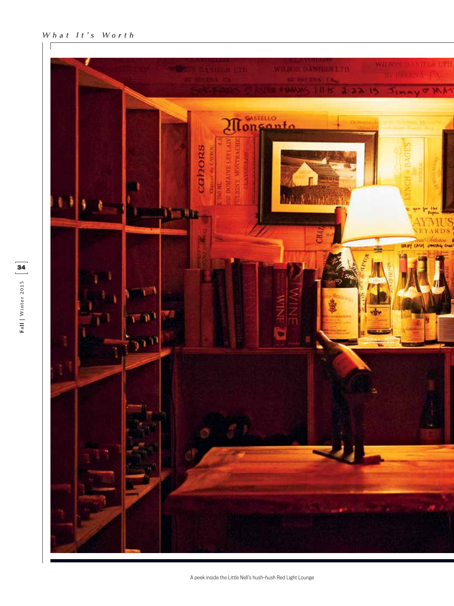## **What It's Worth**

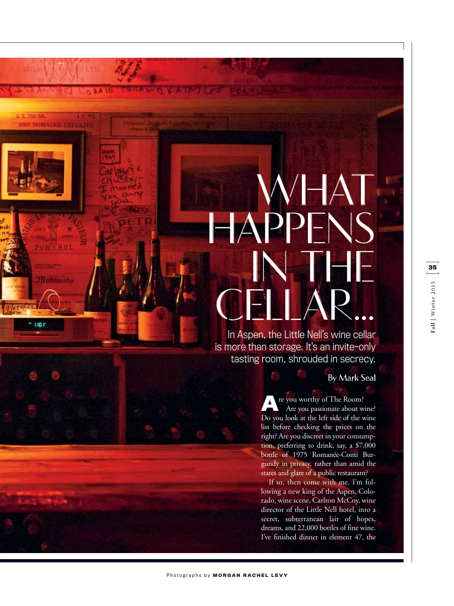## **WHAT HAPPENS IN THE CELLAR...**

In Aspen, the Little Nell's wine cellar is more than storage. It's an invite-only tasting room, shrouded in secrecy.

## **By Mark Seal**

**A**re you worthy of The Room?<br>Are you passionate about wine? Do you look at the left side of the wine list before checking the prices on the right? Are you discreet in your consumption, preferring to drink, say, a \$7,000 bottle of 1975 Romanée-Conti Burgundy in privacy, rather than amid the stares and glare of a public restaurant?

If so, then come with me. I'm following a new king of the Aspen, Colorado, wine scene, Carlton McCoy, wine director of the Little Nell hotel, into a secret, subterranean lair of hopes, dreams, and 22,000 bottles of fine wine. I've finished dinner in element 47, the

**6 X 750 ML 2007 DOMAE** 

ROL

Moksanto

i in r

**ALL**E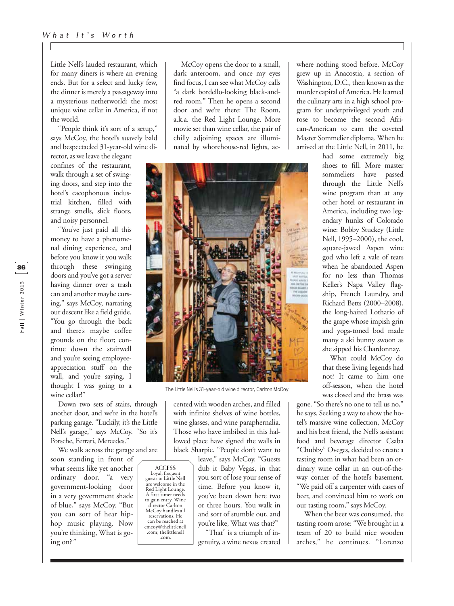Little Nell's lauded restaurant, which for many diners is where an evening ends. But for a select and lucky few, the dinner is merely a passageway into a mysterious netherworld: the most unique wine cellar in America, if not the world.

"People think it's sort of a setup," says McCoy, the hotel's suavely bald and bespectacled 31-year-old wine di-

rector, as we leave the elegant confines of the restaurant, walk through a set of swinging doors, and step into the hotel's cacophonous industrial kitchen, filled with strange smells, slick floors, and noisy personnel.

"You've just paid all this money to have a phenomenal dining experience, and before you know it you walk through these swinging doors and you've got a server having dinner over a trash can and another maybe cursing," says McCoy, narrating our descent like a field guide. "You go through the back and there's maybe coffee grounds on the floor; continue down the stairwell and you're seeing employeeappreciation stuff on the wall, and you're saying, I thought I was going to a wine cellar!"

Down two sets of stairs, through another door, and we're in the hotel's parking garage. "Luckily, it's the Little Nell's garage," says McCoy. "So it's Porsche, Ferrari, Mercedes."

We walk across the garage and are

**ACCESS** Loyal, frequent guests to Little Nell

are welcome in the Red Light Lounge. A first-timer needs to gain entry. Wine director Carlton McCoy handles all

reservations. He can be reached at cmcoy@thelittlenell .com; thelittlenell .com.

soon standing in front of what seems like yet another ordinary door, "a very government-looking door in a very government shade of blue," says McCoy. "But you can sort of hear hiphop music playing. Now you're thinking, What is going on? "

McCoy opens the door to a small, dark anteroom, and once my eyes find focus, I can see what McCoy calls "a dark bordello-looking black-andred room." Then he opens a second door and we're there: The Room, a.k.a. the Red Light Lounge. More movie set than wine cellar, the pair of chilly adjoining spaces are illuminated by whorehouse-red lights, ac-



The Little Nell's 31-year-old wine director, Carlton McCoy

cented with wooden arches, and filled with infinite shelves of wine bottles, wine glasses, and wine paraphernalia. Those who have imbibed in this hallowed place have signed the walls in black Sharpie. "People don't want to

leave," says McCoy. "Guests dub it Baby Vegas, in that you sort of lose your sense of time. Before you know it, you've been down here two or three hours. You walk in and sort of stumble out, and you're like, What was that?"

"That" is a triumph of ingenuity, a wine nexus created where nothing stood before. McCoy grew up in Anacostia, a section of Washington, D.C., then known as the murder capital of America. He learned the culinary arts in a high school program for underprivileged youth and rose to become the second African-American to earn the coveted Master Sommelier diploma. When he arrived at the Little Nell, in 2011, he

> had some extremely big shoes to fill. More master sommeliers have passed through the Little Nell's wine program than at any other hotel or restaurant in America, including two legendary hunks of Colorado wine: Bobby Stuckey (Little Nell, 1995–2000), the cool, square-jawed Aspen wine god who left a vale of tears when he abandoned Aspen for no less than Thomas Keller's Napa Valley flagship, French Laundry, and Richard Betts (2000–2008), the long-haired Lothario of the grape whose impish grin and yoga-toned bod made many a ski bunny swoon as she sipped his Chardonnay.

> What could McCoy do that these living legends had not? It came to him one off-season, when the hotel was closed and the brass was

gone. "So there's no one to tell us no," he says. Seeking a way to show the hotel's massive wine collection, McCoy and his best friend, the Nell's assistant food and beverage director Csaba "Chubby" Oveges, decided to create a tasting room in what had been an ordinary wine cellar in an out-of-theway corner of the hotel's basement. "We paid off a carpenter with cases of beer, and convinced him to work on our tasting room," says McCoy.

When the beer was consumed, the tasting room arose: "We brought in a team of 20 to build nice wooden arches," he continues. "Lorenzo

Fall | Winter 2015 **36 Fall | Winter 2015**